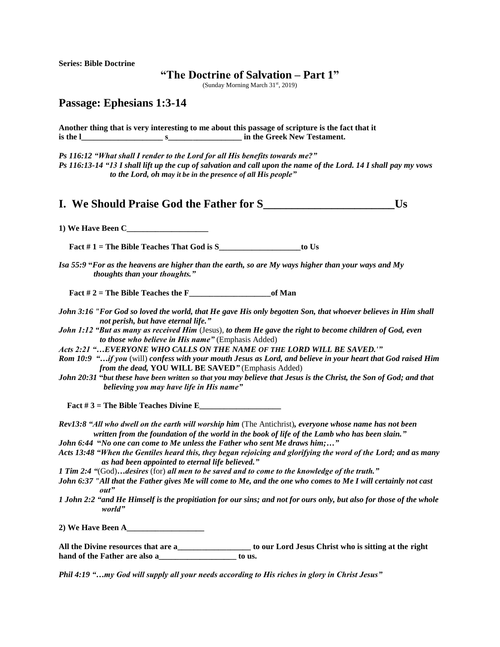**Series: Bible Doctrine**

## **"The Doctrine of Salvation – Part 1"**

(Sunday Morning March 31<sup>st</sup>, 2019)

## **Passage: Ephesians 1:3-14**

**Another thing that is very interesting to me about this passage of scripture is the fact that it is the l** s s in the Greek New Testament.

*Ps 116:12 "What shall I render to the Lord for all His benefits towards me?" Ps 116:13-14 "13 I shall lift up the cup of salvation and call upon the name of the Lord. 14 I shall pay my vows to the Lord, oh may it be in the presence of all His people"*

**I.** We Should Praise God the Father for S

**1) We Have Been C\_\_\_\_\_\_\_\_\_\_\_\_\_\_\_\_\_\_\_\_**

 **Fact # 1 = The Bible Teaches That God is S\_\_\_\_\_\_\_\_\_\_\_\_\_\_\_\_\_\_\_\_to Us** 

*Isa 55:9* **"***For as the heavens are higher than the earth, so are My ways higher than your ways and My thoughts than your thoughts."*

 **Fact # 2 = The Bible Teaches the F\_\_\_\_\_\_\_\_\_\_\_\_\_\_\_\_\_\_\_\_of Man**

- *John 3:16 "For God so loved the world, that He gave His only begotten Son, that whoever believes in Him shall not perish, but have eternal life."*
- *John 1:12 "But as many as received Him* (Jesus), *to them He gave the right to become children of God, even to those who believe in His name"* (Emphasis Added)
- *Acts 2:21 "…EVERYONE WHO CALLS ON THE NAME OF THE LORD WILL BE SAVED.'"*
- *Rom 10:9 "…if you* (will) *confess with your mouth Jesus as Lord, and believe in your heart that God raised Him from the dead,* **YOU WILL BE SAVED***"* (Emphasis Added)
- *John 20:31* **"***but these have been written so that you may believe that Jesus is the Christ, the Son of God; and that believing you may have life in His name"*

Fact  $\#3$  = The Bible Teaches Divine E

- *Rev13:8 "All who dwell on the earth will worship him* (The Antichrist)*, everyone whose name has not been written from the foundation of the world in the book of life of the Lamb who has been slain."*
- *John 6:44* **"***No one can come to Me unless the Father who sent Me draws him;…"*
- *Acts 13:48 "When the Gentiles heard this, they began rejoicing and glorifying the word of the Lord; and as many as had been appointed to eternal life believed."*
- *1 Tim 2:4 "*(God)*…desires* (for) *all men to be saved and to come to the knowledge of the truth."*
- *John 6:37 "All that the Father gives Me will come to Me, and the one who comes to Me I will certainly not cast out"*
- *1 John 2:2 "and He Himself is the propitiation for our sins; and not for ours only, but also for those of the whole world"*

**2) We Have Been A\_\_\_\_\_\_\_\_\_\_\_\_\_\_\_\_\_\_\_**

**All the Divine resources that are a\_\_\_\_\_\_\_\_\_\_\_\_\_\_\_\_\_\_ to our Lord Jesus Christ who is sitting at the right**  hand of the Father are also a **business** to us.

*Phil 4:19 "…my God will supply all your needs according to His riches in glory in Christ Jesus"*